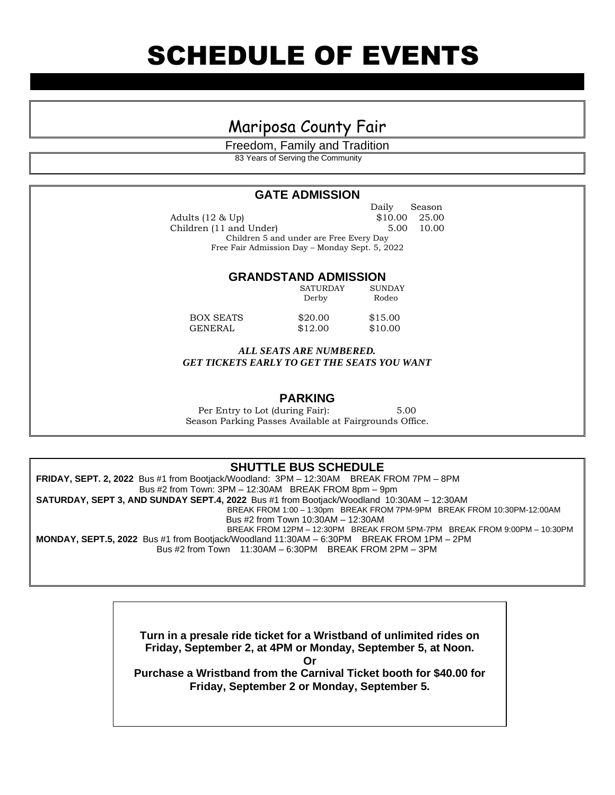## Mariposa County Fair

Freedom, Family and Tradition 83 Years of Serving the Community

### **GATE ADMISSION**

 Daily Season Adults (12 & Up) \$10.00 25.00 Children (11 and Under) 5.00 10.00 Children 5 and under are Free Every Day Free Fair Admission Day – Monday Sept. 5, 2022

### **GRANDSTAND ADMISSION**

|                  | SATURDAY<br>Derby | <b>SUNDAY</b><br>Rodeo |
|------------------|-------------------|------------------------|
| <b>BOX SEATS</b> | \$20.00           | \$15.00                |
| GENERAL          | \$12.00           | \$10.00                |

*ALL SEATS ARE NUMBERED. GET TICKETS EARLY TO GET THE SEATS YOU WANT*

### **PARKING**

Per Entry to Lot (during Fair): 5.00 Season Parking Passes Available at Fairgrounds Office.

### **SHUTTLE BUS SCHEDULE**

**FRIDAY, SEPT. 2, 2022** Bus #1 from Bootjack/Woodland: 3PM – 12:30AM BREAK FROM 7PM – 8PM Bus #2 from Town: 3PM – 12:30AM BREAK FROM 8pm – 9pm **SATURDAY, SEPT 3, AND SUNDAY SEPT.4, 2022** Bus #1 from Bootjack/Woodland 10:30AM – 12:30AM BREAK FROM 1:00 – 1:30pm BREAK FROM 7PM-9PM BREAK FROM 10:30PM-12:00AM Bus #2 from Town 10:30AM – 12:30AM BREAK FROM 12PM – 12:30PM BREAK FROM 5PM-7PM BREAK FROM 9:00PM – 10:30PM **MONDAY, SEPT.5, 2022** Bus #1 from Bootjack/Woodland 11:30AM – 6:30PM BREAK FROM 1PM – 2PM Bus #2 from Town 11:30AM – 6:30PM BREAK FROM 2PM – 3PM

> **Turn in a presale ride ticket for a Wristband of unlimited rides on Friday, September 2, at 4PM or Monday, September 5, at Noon.**

> > **Or**

**Purchase a Wristband from the Carnival Ticket booth for \$40.00 for Friday, September 2 or Monday, September 5.**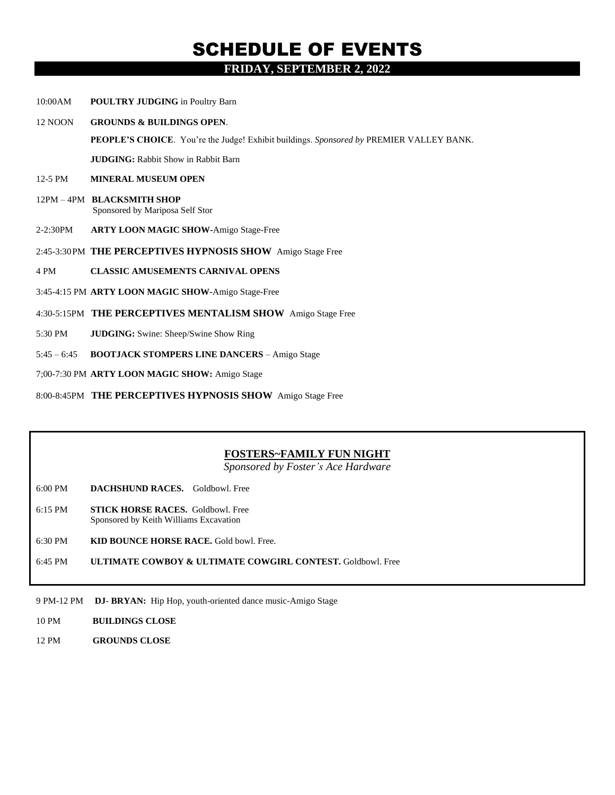### SCHEDULE OF EVENTS **FRIDAY, SEPTEMBER 2, 2022**

- 10:00AM **POULTRY JUDGING** in Poultry Barn
- 12 NOON **GROUNDS & BUILDINGS OPEN**.

**PEOPLE'S CHOICE**. You're the Judge! Exhibit buildings. *Sponsored by* PREMIER VALLEY BANK.

**JUDGING:** Rabbit Show in Rabbit Barn

- 12-5 PM **MINERAL MUSEUM OPEN**
- 12PM 4PM **BLACKSMITH SHOP** Sponsored by Mariposa Self Stor
- 2-2:30PM **ARTY LOON MAGIC SHOW-**Amigo Stage-Free
- 2:45-3:30PM **THE PERCEPTIVES HYPNOSIS SHOW** Amigo Stage Free
- 4 PM **CLASSIC AMUSEMENTS CARNIVAL OPENS**
- 3:45-4:15 PM **ARTY LOON MAGIC SHOW-**Amigo Stage-Free
- 4:30-5:15PM **THE PERCEPTIVES MENTALISM SHOW** Amigo Stage Free
- 5:30 PM **JUDGING:** Swine: Sheep/Swine Show Ring
- 5:45 6:45 **BOOTJACK STOMPERS LINE DANCERS** Amigo Stage
- 7;00-7:30 PM **ARTY LOON MAGIC SHOW:** Amigo Stage
- 8:00-8:45PM **THE PERCEPTIVES HYPNOSIS SHOW** Amigo Stage Free

#### **FOSTERS~FAMILY FUN NIGHT**

*Sponsored by Foster's Ace Hardware*

- 6:00 PM **DACHSHUND RACES.** Goldbowl. Free
- 6:15 PM **STICK HORSE RACES.** Goldbowl. Free Sponsored by Keith Williams Excavation
- 6:30 PM **KID BOUNCE HORSE RACE.** Gold bowl. Free.
- 6:45 PM **ULTIMATE COWBOY & ULTIMATE COWGIRL CONTEST.** Goldbowl. Free
- 9 PM-12 PM **DJ BRYAN:** Hip Hop, youth-oriented dance music-Amigo Stage
- 10 PM **BUILDINGS CLOSE**
- 12 PM **GROUNDS CLOSE**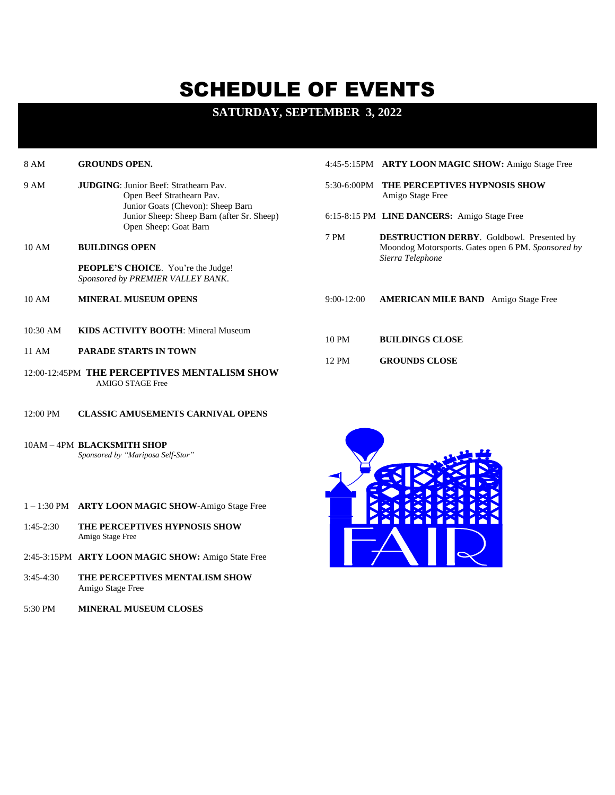# SCHEDULE OF EVENTS

### **SATURDAY, SEPTEMBER 3, 2022**

| 8 AM     | <b>GROUNDS OPEN.</b>                                                                                           |              | 4:45-5:15PM ARTY LOON MAGIC SHOW: Amigo Stage Free                     |
|----------|----------------------------------------------------------------------------------------------------------------|--------------|------------------------------------------------------------------------|
| 9 AM     | <b>JUDGING: Junior Beef: Strathearn Pay.</b><br>Open Beef Strathearn Pav.<br>Junior Goats (Chevon): Sheep Barn | 5:30-6:00PM  | <b>THE PERCEPTIVES HYPNOSIS SHOW</b><br>Amigo Stage Free               |
|          | Junior Sheep: Sheep Barn (after Sr. Sheep)<br>Open Sheep: Goat Barn                                            |              | 6:15-8:15 PM LINE DANCERS: Amigo Stage Free                            |
|          |                                                                                                                | 7 PM         | <b>DESTRUCTION DERBY.</b> Goldbowl. Presented by                       |
| 10 AM    | <b>BUILDINGS OPEN</b>                                                                                          |              | Moondog Motorsports. Gates open 6 PM. Sponsored by<br>Sierra Telephone |
|          | <b>PEOPLE'S CHOICE.</b> You're the Judge!<br>Sponsored by PREMIER VALLEY BANK.                                 |              |                                                                        |
| 10 AM    | <b>MINERAL MUSEUM OPENS</b>                                                                                    | $9:00-12:00$ | <b>AMERICAN MILE BAND</b> Amigo Stage Free                             |
| 10:30 AM | <b>KIDS ACTIVITY BOOTH:</b> Mineral Museum                                                                     |              |                                                                        |
|          |                                                                                                                | 10 PM        | <b>BUILDINGS CLOSE</b>                                                 |
| 11 AM    | <b>PARADE STARTS IN TOWN</b>                                                                                   | 12 PM        | <b>GROUNDS CLOSE</b>                                                   |
|          | 12:00-12:45PM THE PERCEPTIVES MENTALISM SHOW<br><b>AMIGO STAGE Free</b>                                        |              |                                                                        |

- 12:00 PM **CLASSIC AMUSEMENTS CARNIVAL OPENS**
- 10AM 4PM **BLACKSMITH SHOP** *Sponsored by "Mariposa Self-Stor"*

- 1 1:30 PM **ARTY LOON MAGIC SHOW**-Amigo Stage Free
- 1:45-2:30 **THE PERCEPTIVES HYPNOSIS SHOW** Amigo Stage Free
- 2:45-3:15PM **ARTY LOON MAGIC SHOW:** Amigo State Free
- 3:45-4:30 **THE PERCEPTIVES MENTALISM SHOW**  Amigo Stage Free
- 5:30 PM **MINERAL MUSEUM CLOSES**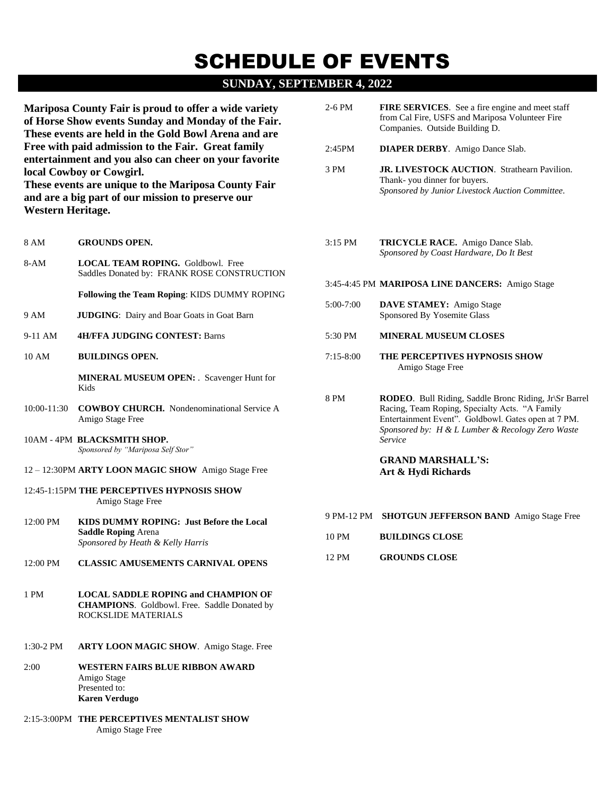# SCHEDULE OF EVENTS

### **SUNDAY, SEPTEMBER 4, 2022**

**Mariposa County Fair is proud to offer a wide variety of Horse Show events Sunday and Monday of the Fair. These events are held in the Gold Bowl Arena and are Free with paid admission to the Fair. Great family entertainment and you also can cheer on your favorite local Cowboy or Cowgirl.**

**These events are unique to the Mariposa County Fair and are a big part of our mission to preserve our Western Heritage.**

- 8-AM **LOCAL TEAM ROPING.** Goldbowl. Free Saddles Donated by: FRANK ROSE CONSTRUCTION **Following the Team Roping**: KIDS DUMMY ROPING 9 AM **JUDGING**: Dairy and Boar Goats in Goat Barn
- 9-11 AM **4H/FFA JUDGING CONTEST:** Barns
- 10 AM **BUILDINGS OPEN.**

8 AM **GROUNDS OPEN.**

**MINERAL MUSEUM OPEN:** . Scavenger Hunt for Kids

- 10:00-11:30 **COWBOY CHURCH.** Nondenominational Service A Amigo Stage Free
- 10AM 4PM **BLACKSMITH SHOP.**  *Sponsored by "Mariposa Self Stor"*
- 12 12:30PM **ARTY LOON MAGIC SHOW** Amigo Stage Free
- 12:45-1:15PM **THE PERCEPTIVES HYPNOSIS SHOW** Amigo Stage Free
- 12:00 PM **KIDS DUMMY ROPING: Just Before the Local Saddle Roping** Arena *Sponsored by Heath & Kelly Harris*
- 12:00 PM **CLASSIC AMUSEMENTS CARNIVAL OPENS**
- 1 PM **LOCAL SADDLE ROPING and CHAMPION OF CHAMPIONS**. Goldbowl. Free. Saddle Donated by ROCKSLIDE MATERIALS
- 1:30-2 PM **ARTY LOON MAGIC SHOW**. Amigo Stage. Free
- 2:00 **WESTERN FAIRS BLUE RIBBON AWARD** Amigo Stage Presented to: **Karen Verdugo**
- 2:15-3:00PM **THE PERCEPTIVES MENTALIST SHOW** Amigo Stage Free
- 2-6 PM **FIRE SERVICES**. See a fire engine and meet staff from Cal Fire, USFS and Mariposa Volunteer Fire Companies. Outside Building D.
- 2:45PM **DIAPER DERBY**. Amigo Dance Slab.
- 3 PM **JR. LIVESTOCK AUCTION**. Strathearn Pavilion. Thank- you dinner for buyers. *Sponsored by Junior Livestock Auction Committee*.
- 3:15 PM **TRICYCLE RACE.** Amigo Dance Slab. *Sponsored by Coast Hardware, Do It Best*

#### 3:45-4:45 PM **MARIPOSA LINE DANCERS:** Amigo Stage

- 5:00-7:00 **DAVE STAMEY:** Amigo Stage Sponsored By Yosemite Glass
- 5:30 PM **MINERAL MUSEUM CLOSES**
- 7:15-8:00 **THE PERCEPTIVES HYPNOSIS SHOW** Amigo Stage Free
- 8 PM **RODEO**. Bull Riding, Saddle Bronc Riding, Jr\Sr Barrel Racing, Team Roping, Specialty Acts. "A Family Entertainment Event". Goldbowl. Gates open at 7 PM. *Sponsored by: H & L Lumber & Recology Zero Waste Service*

### **GRAND MARSHALL'S: Art & Hydi Richards**

- 9 PM-12 PM **SHOTGUN JEFFERSON BAND** Amigo Stage Free
- 10 PM **BUILDINGS CLOSE**
- 12 PM **GROUNDS CLOSE**